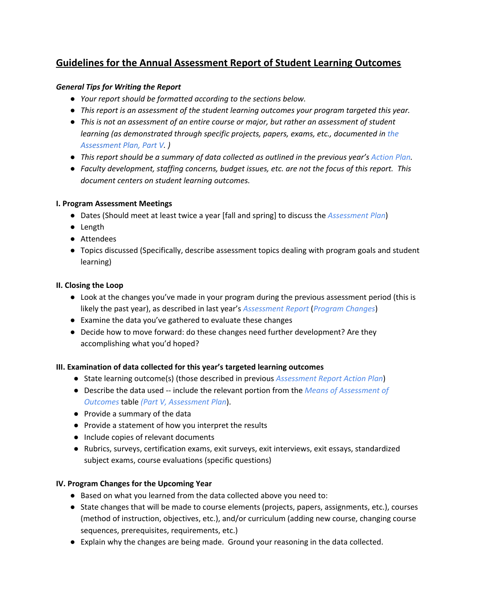# **Guidelines for the Annual Assessment Report of Student Learning Outcomes**

## *General Tips for Writing the Report*

- *● Your report should be formatted according to the sections below.*
- *● This report is an assessment of the student learning outcomes your program targeted this year.*
- *● This is not an assessment of an entire course or major, but rather an assessment of student learning (as demonstrated through specific projects, papers, exams, etc., documented in the Assessment Plan, Part V. )*
- This report should be a summary of data collected as outlined in the previous year's Action Plan.
- *● Faculty development, staffing concerns, budget issues, etc. are not the focus of this report. This document centers on student learning outcomes.*

### **I. Program Assessment Meetings**

- Dates (Should meet at least twice a year [fall and spring] to discuss the *Assessment Plan*)
- Length
- Attendees
- Topics discussed (Specifically, describe assessment topics dealing with program goals and student learning)

### **II. Closing the Loop**

- Look at the changes you've made in your program during the previous assessment period (this is likely the past year), as described in last year's *Assessment Report* (*Program Changes*)
- Examine the data you've gathered to evaluate these changes
- Decide how to move forward: do these changes need further development? Are they accomplishing what you'd hoped?

### **III. Examination of data collected for this year's targeted learning outcomes**

- State learning outcome(s) (those described in previous *Assessment Report Action Plan*)
- Describe the data used -- include the relevant portion from the *Means of Assessment of Outcomes* table *(Part V, Assessment Plan*).
- Provide a summary of the data
- Provide a statement of how you interpret the results
- Include copies of relevant documents
- Rubrics, surveys, certification exams, exit surveys, exit interviews, exit essays, standardized subject exams, course evaluations (specific questions)

#### **IV. Program Changes for the Upcoming Year**

- Based on what you learned from the data collected above you need to:
- State changes that will be made to course elements (projects, papers, assignments, etc.), courses (method of instruction, objectives, etc.), and/or curriculum (adding new course, changing course sequences, prerequisites, requirements, etc.)
- Explain why the changes are being made. Ground your reasoning in the data collected.